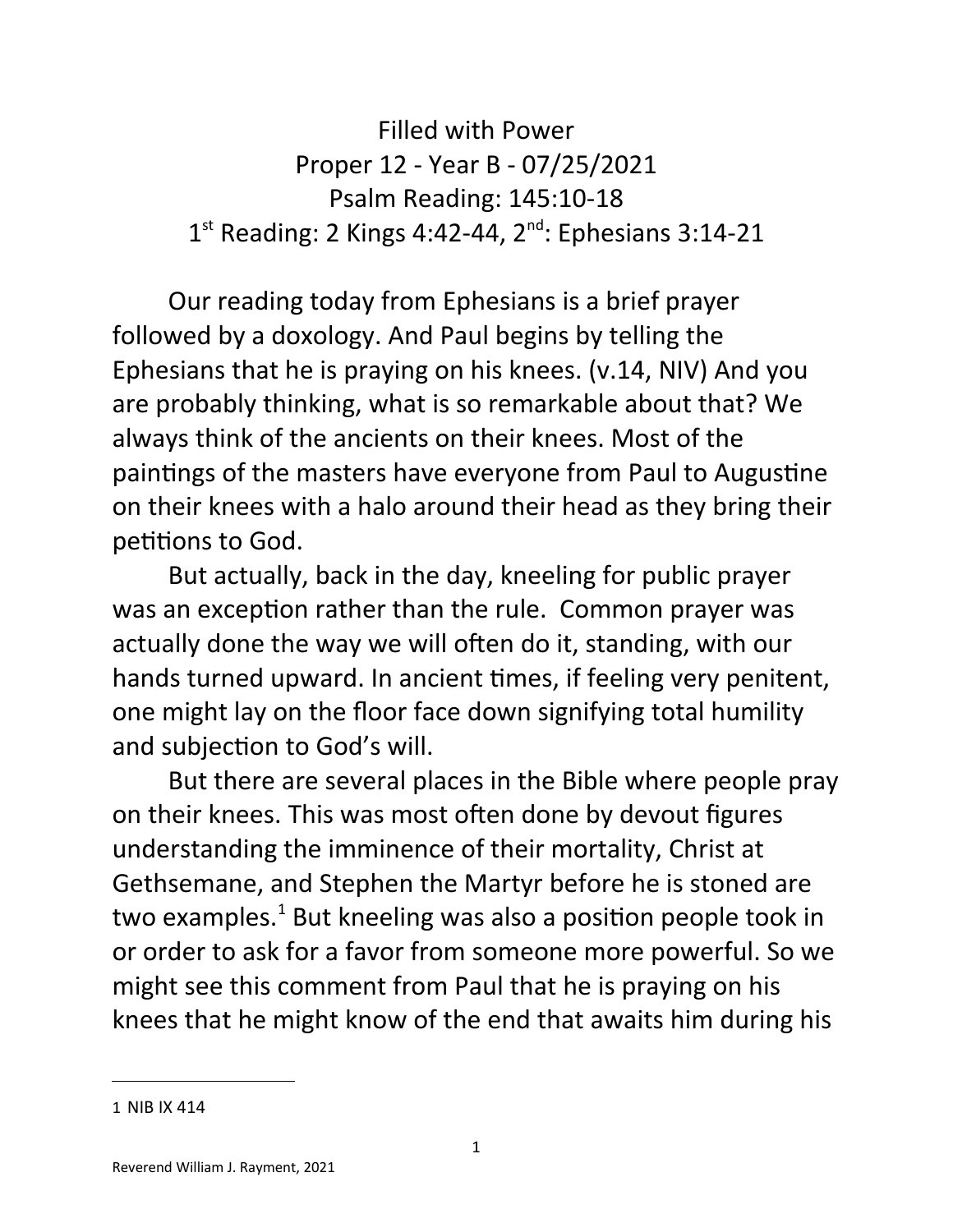Filled with Power Proper 12 - Year B - 07/25/2021 Psalm Reading: 145:10-18  $1^{st}$  Reading: 2 Kings 4:42-44,  $2^{nd}$ : Ephesians 3:14-21

Our reading today from Ephesians is a brief prayer followed by a doxology. And Paul begins by telling the Ephesians that he is praying on his knees. (v.14, NIV) And you are probably thinking, what is so remarkable about that? We always think of the ancients on their knees. Most of the paintings of the masters have everyone from Paul to Augustine on their knees with a halo around their head as they bring their petitions to God.

But actually, back in the day, kneeling for public prayer was an exception rather than the rule. Common prayer was actually done the way we will often do it, standing, with our hands turned upward. In ancient times, if feeling very penitent, one might lay on the floor face down signifying total humility and subjection to God's will.

But there are several places in the Bible where people pray on their knees. This was most often done by devout figures understanding the imminence of their mortality, Christ at Gethsemane, and Stephen the Martyr before he is stoned are two examples.<sup>[1](#page-0-0)</sup> But kneeling was also a position people took in or order to ask for a favor from someone more powerful. So we might see this comment from Paul that he is praying on his knees that he might know of the end that awaits him during his

<span id="page-0-0"></span><sup>1</sup> NIB IX 414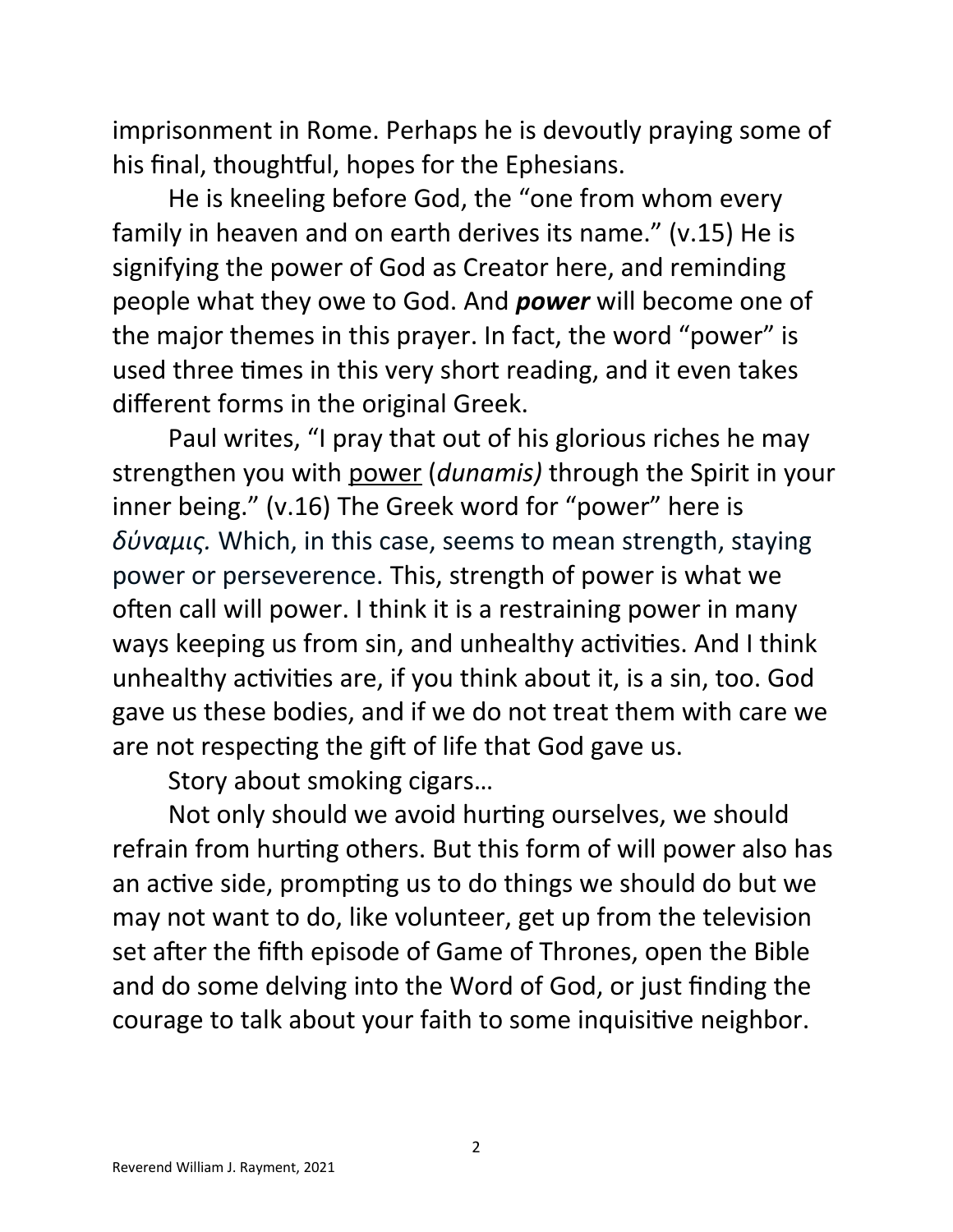imprisonment in Rome. Perhaps he is devoutly praying some of his final, thoughtful, hopes for the Ephesians.

He is kneeling before God, the "one from whom every family in heaven and on earth derives its name." (v.15) He is signifying the power of God as Creator here, and reminding people what they owe to God. And *power* will become one of the major themes in this prayer. In fact, the word "power" is used three times in this very short reading, and it even takes different forms in the original Greek.

Paul writes, "I pray that out of his glorious riches he may strengthen you with power (*dunamis)* through the Spirit in your inner being." (v.16) The Greek word for "power" here is *δύναμις.* Which, in this case, seems to mean strength, staying power or perseverence. This, strength of power is what we often call will power. I think it is a restraining power in many ways keeping us from sin, and unhealthy activities. And I think unhealthy activities are, if you think about it, is a sin, too. God gave us these bodies, and if we do not treat them with care we are not respecting the gift of life that God gave us.

Story about smoking cigars…

Not only should we avoid hurting ourselves, we should refrain from hurting others. But this form of will power also has an active side, prompting us to do things we should do but we may not want to do, like volunteer, get up from the television set after the fifth episode of Game of Thrones, open the Bible and do some delving into the Word of God, or just finding the courage to talk about your faith to some inquisitive neighbor.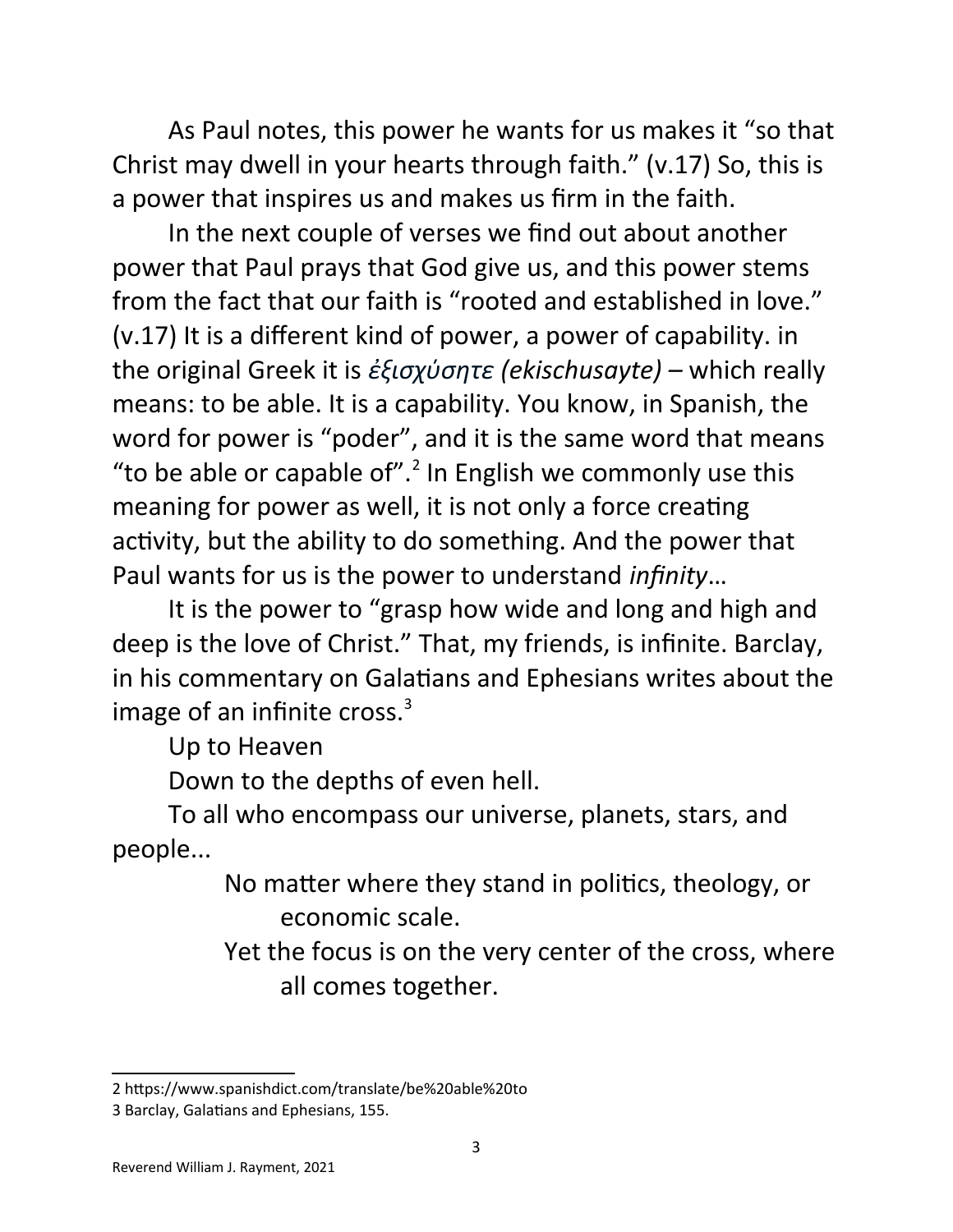As Paul notes, this power he wants for us makes it "so that Christ may dwell in your hearts through faith." (v.17) So, this is a power that inspires us and makes us firm in the faith.

In the next couple of verses we find out about another power that Paul prays that God give us, and this power stems from the fact that our faith is "rooted and established in love." (v.17) It is a different kind of power, a power of capability. in the original Greek it is *ἐξισχύσητε (ekischusayte) –* which really means: to be able. It is a capability. You know, in Spanish, the word for power is "poder", and it is the same word that means "to be able or capable of". $2$  In English we commonly use this meaning for power as well, it is not only a force creating activity, but the ability to do something. And the power that Paul wants for us is the power to understand *infinity*…

It is the power to "grasp how wide and long and high and deep is the love of Christ." That, my friends, is infinite. Barclay, in his commentary on Galatians and Ephesians writes about the image of an infinite cross. $3$ 

Up to Heaven

Down to the depths of even hell.

To all who encompass our universe, planets, stars, and people...

> No matter where they stand in politics, theology, or economic scale.

Yet the focus is on the very center of the cross, where all comes together.

<span id="page-2-0"></span><sup>2</sup> https://www.spanishdict.com/translate/be%20able%20to

<span id="page-2-1"></span><sup>3</sup> Barclay, Galatians and Ephesians, 155.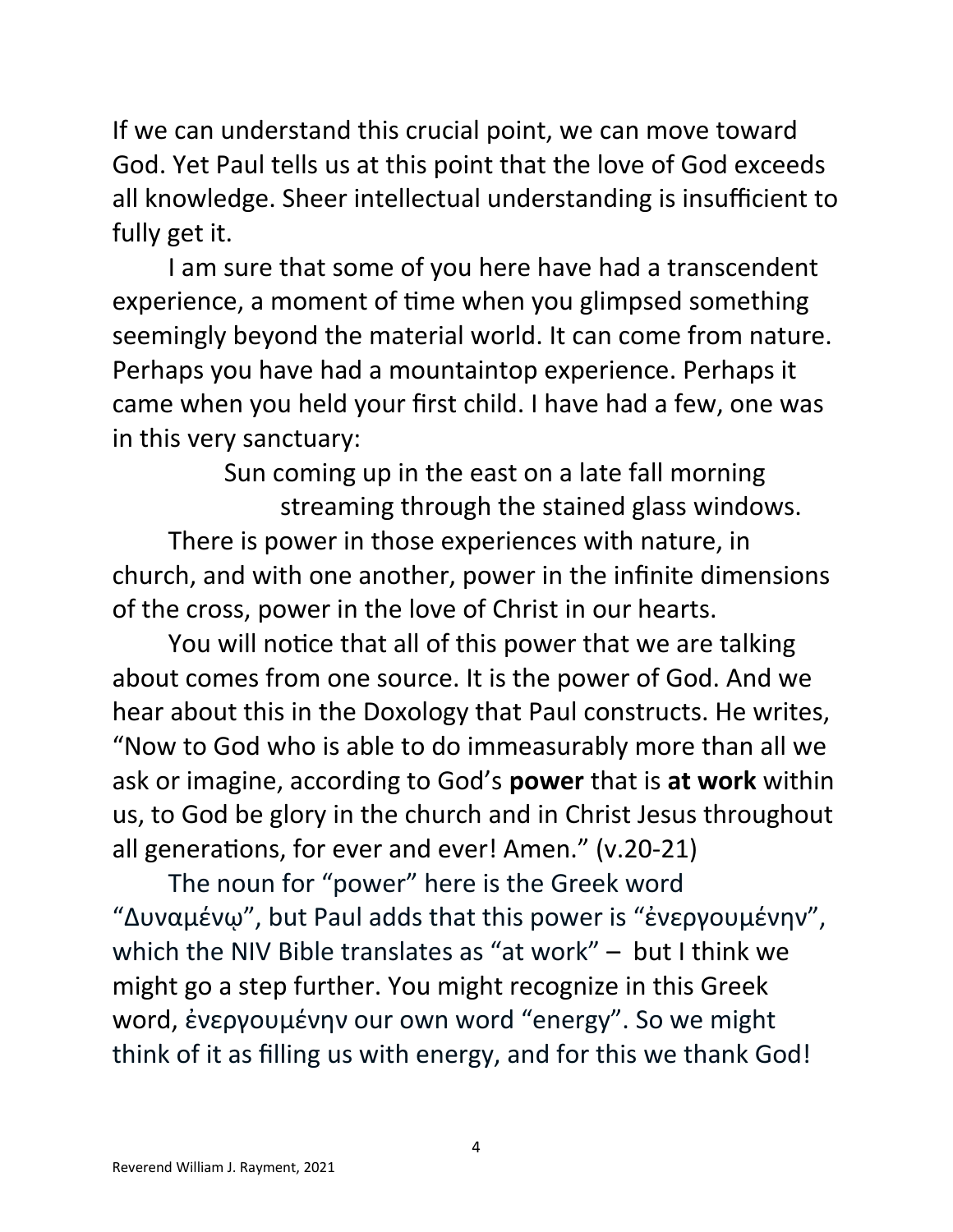If we can understand this crucial point, we can move toward God. Yet Paul tells us at this point that the love of God exceeds all knowledge. Sheer intellectual understanding is insufficient to fully get it.

I am sure that some of you here have had a transcendent experience, a moment of time when you glimpsed something seemingly beyond the material world. It can come from nature. Perhaps you have had a mountaintop experience. Perhaps it came when you held your first child. I have had a few, one was in this very sanctuary:

Sun coming up in the east on a late fall morning streaming through the stained glass windows. There is power in those experiences with nature, in church, and with one another, power in the infinite dimensions of the cross, power in the love of Christ in our hearts.

You will notice that all of this power that we are talking about comes from one source. It is the power of God. And we hear about this in the Doxology that Paul constructs. He writes, "Now to God who is able to do immeasurably more than all we ask or imagine, according to God's **power** that is **at work** within us, to God be glory in the church and in Christ Jesus throughout all generations, for ever and ever! Amen." (v.20-21)

The noun for "power" here is the Greek word "Δυναμένῳ", but Paul adds that this power is "ἐνεργουμένην", which the NIV Bible translates as "at work" – but I think we might go a step further. You might recognize in this Greek word, ἐνεργουμένην our own word "energy". So we might think of it as filling us with energy, and for this we thank God!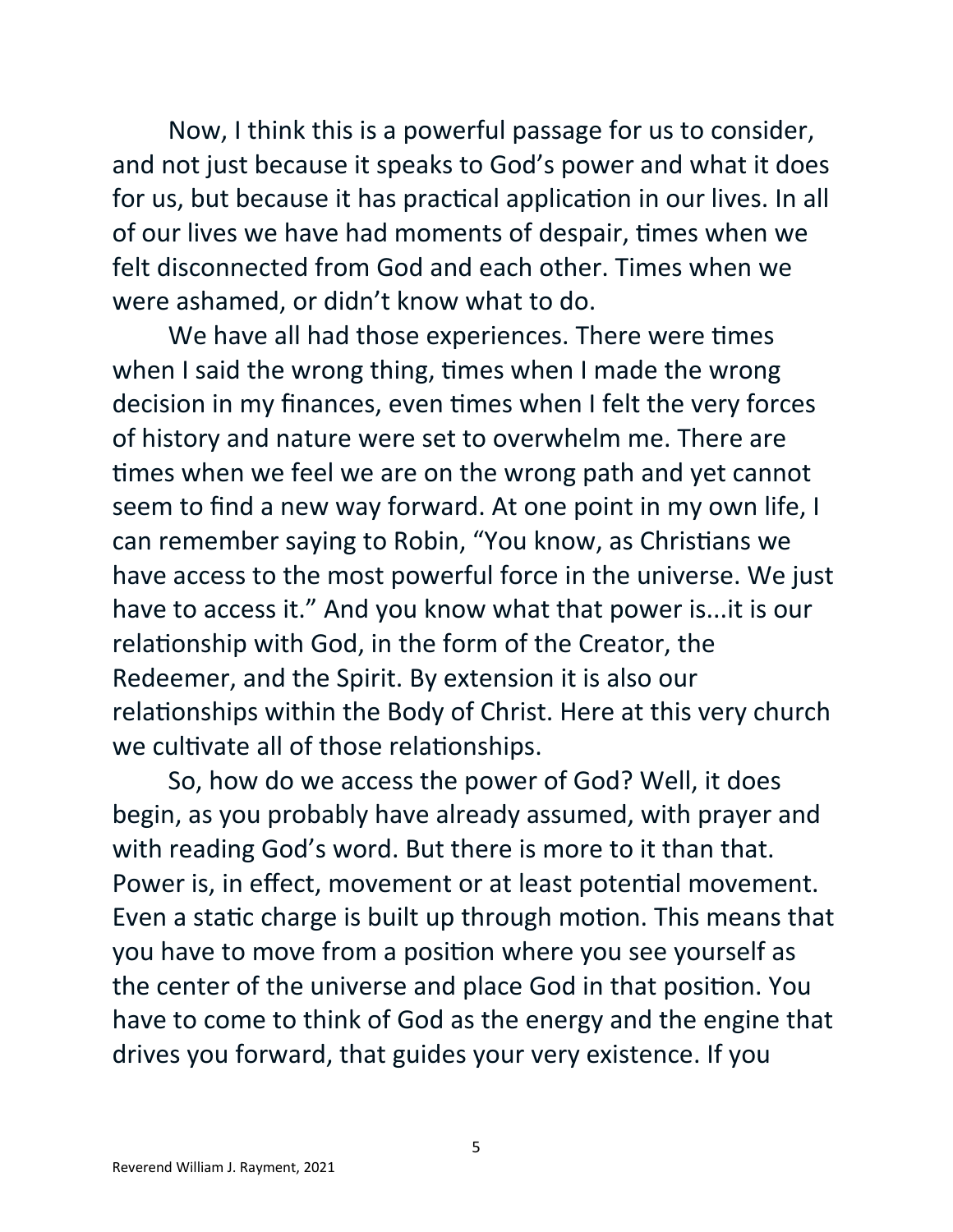Now, I think this is a powerful passage for us to consider, and not just because it speaks to God's power and what it does for us, but because it has practical application in our lives. In all of our lives we have had moments of despair, times when we felt disconnected from God and each other. Times when we were ashamed, or didn't know what to do.

We have all had those experiences. There were times when I said the wrong thing, times when I made the wrong decision in my finances, even times when I felt the very forces of history and nature were set to overwhelm me. There are times when we feel we are on the wrong path and yet cannot seem to find a new way forward. At one point in my own life, I can remember saying to Robin, "You know, as Christians we have access to the most powerful force in the universe. We just have to access it." And you know what that power is...it is our relationship with God, in the form of the Creator, the Redeemer, and the Spirit. By extension it is also our relationships within the Body of Christ. Here at this very church we cultivate all of those relationships.

So, how do we access the power of God? Well, it does begin, as you probably have already assumed, with prayer and with reading God's word. But there is more to it than that. Power is, in effect, movement or at least potential movement. Even a static charge is built up through motion. This means that you have to move from a position where you see yourself as the center of the universe and place God in that position. You have to come to think of God as the energy and the engine that drives you forward, that guides your very existence. If you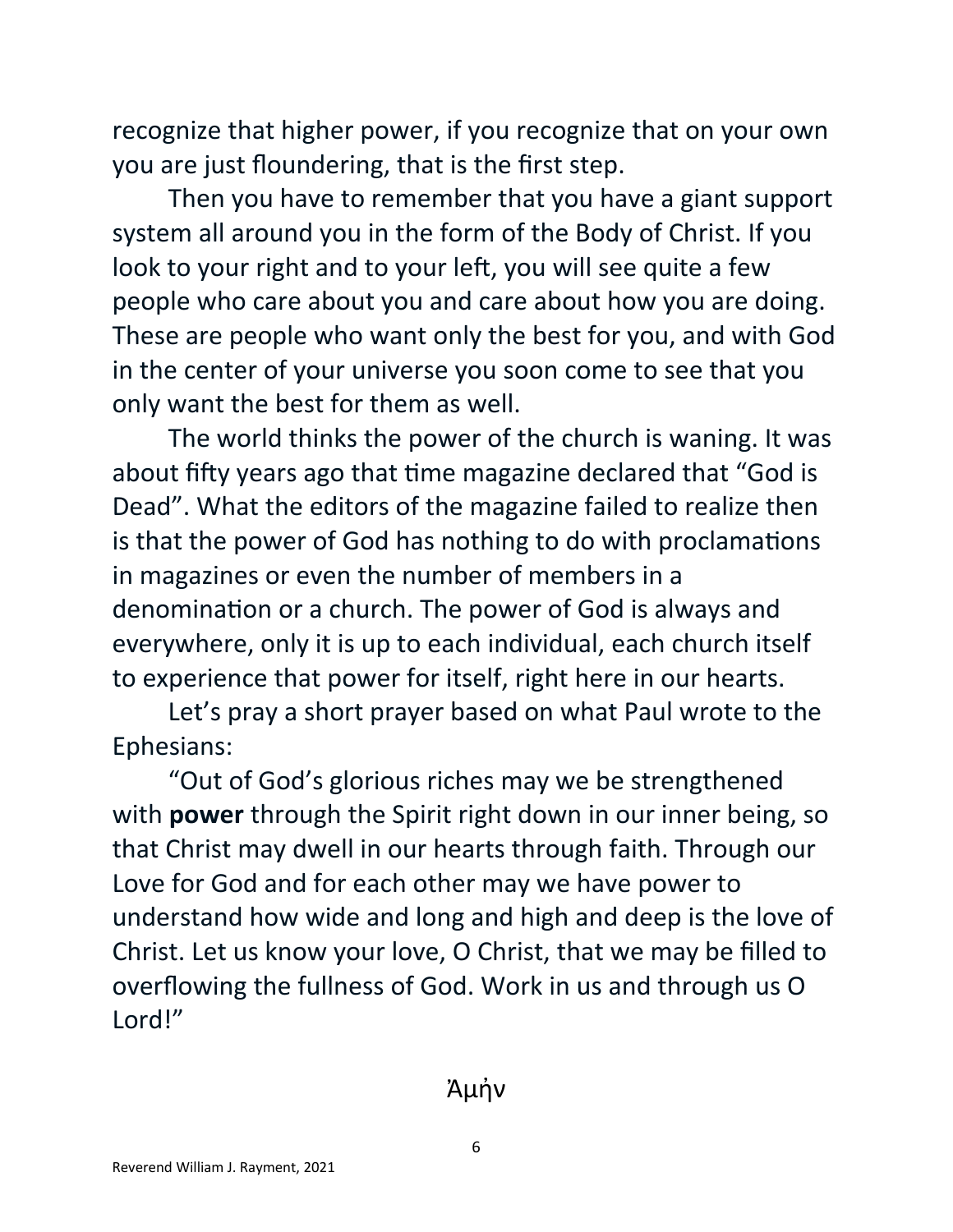recognize that higher power, if you recognize that on your own you are just floundering, that is the first step.

Then you have to remember that you have a giant support system all around you in the form of the Body of Christ. If you look to your right and to your left, you will see quite a few people who care about you and care about how you are doing. These are people who want only the best for you, and with God in the center of your universe you soon come to see that you only want the best for them as well.

The world thinks the power of the church is waning. It was about fifty years ago that time magazine declared that "God is Dead". What the editors of the magazine failed to realize then is that the power of God has nothing to do with proclamations in magazines or even the number of members in a denomination or a church. The power of God is always and everywhere, only it is up to each individual, each church itself to experience that power for itself, right here in our hearts.

Let's pray a short prayer based on what Paul wrote to the Ephesians:

"Out of God's glorious riches may we be strengthened with **power** through the Spirit right down in our inner being, so that Christ may dwell in our hearts through faith. Through our Love for God and for each other may we have power to understand how wide and long and high and deep is the love of Christ. Let us know your love, O Christ, that we may be filled to overflowing the fullness of God. Work in us and through us O Lord!"

Ἀμἠν